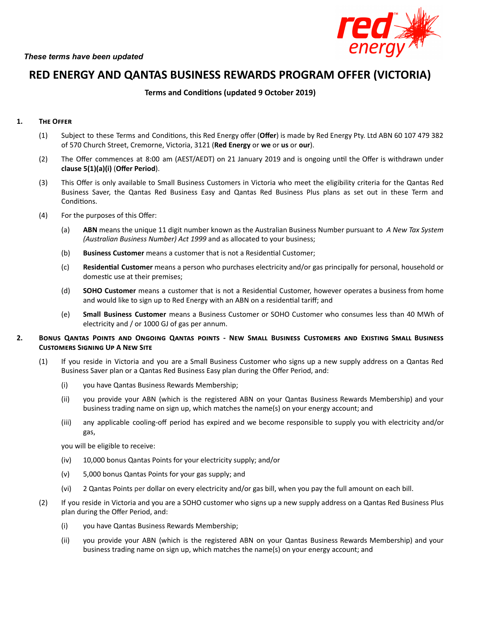

# **RED ENERGY AND QANTAS BUSINESS REWARDS PROGRAM OFFER (VICTORIA)**

## **Terms** and **Conditions** (updated 9 October 2019)

## 1. **THE OFFER**

- (1) Subject to these Terms and Conditions, this Red Energy offer (Offer) is made by Red Energy Pty. Ltd ABN 60 107 479 382 of 570 Church Street, Cremorne, Victoria, 3121 (**Red Energy** or **we** or **us** or **our**).
- (2) The Offer commences at 8:00 am (AEST/AEDT) on 21 January 2019 and is ongoing until the Offer is withdrawn under **clause 5(1)(a)(i)** (**Offer Period**).
- (3) This Offer is only available to Small Business Customers in Victoria who meet the eligibility criteria for the Qantas Red Business Saver, the Qantas Red Business Easy and Qantas Red Business Plus plans as set out in these Term and Conditions.
- (4) For the purposes of this Offer:
	- (a) **ABN** means the unique 11 digit number known as the Australian Business Number pursuant to *A New Tax System (Australian Business Number) Act 1999* and as allocated to your business;
	- (b) **Business Customer** means a customer that is not a Residential Customer;
	- (c) **Residenal Customer** means a person who purchases electricity and/or gas principally for personal, household or domestic use at their premises;
	- (d) **SOHO Customer** means a customer that is not a Residential Customer, however operates a business from home and would like to sign up to Red Energy with an ABN on a residential tariff; and
	- (e) **Small Business Customer** means a Business Customer or SOHO Customer who consumes less than 40 MWh of electricity and / or 1000 GJ of gas per annum.
- 2. BONUS QANTAS POINTS AND ONGOING QANTAS POINTS NEW SMALL BUSINESS CUSTOMERS AND EXISTING SMALL BUSINESS **CUSTOMERS SIGNING UP A NEW SITE** 
	- (1) If you reside in Victoria and you are a Small Business Customer who signs up a new supply address on a Qantas Red Business Saver plan or a Qantas Red Business Easy plan during the Offer Period, and:
		- (i) you have Qantas Business Rewards Membership;
		- (ii) you provide your ABN (which is the registered ABN on your Qantas Business Rewards Membership) and your business trading name on sign up, which matches the name(s) on your energy account; and
		- (iii) any applicable cooling-off period has expired and we become responsible to supply you with electricity and/or gas,

you will be eligible to receive:

- (iv) 10,000 bonus Qantas Points for your electricity supply; and/or
- (v) 5,000 bonus Qantas Points for your gas supply; and
- (vi) 2 Qantas Points per dollar on every electricity and/or gas bill, when you pay the full amount on each bill.
- (2) If you reside in Victoria and you are a SOHO customer who signs up a new supply address on a Qantas Red Business Plus plan during the Offer Period, and:
	- (i) you have Qantas Business Rewards Membership;
	- (ii) you provide your ABN (which is the registered ABN on your Qantas Business Rewards Membership) and your business trading name on sign up, which matches the name(s) on your energy account; and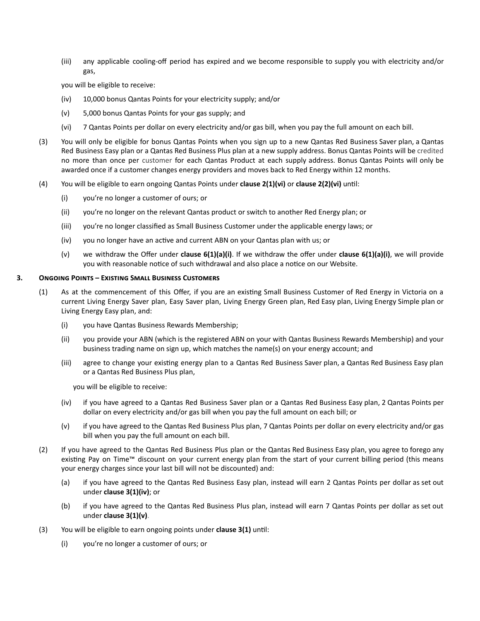(iii) any applicable cooling-off period has expired and we become responsible to supply you with electricity and/or gas,

you will be eligible to receive:

- (iv) 10,000 bonus Qantas Points for your electricity supply; and/or
- (v) 5,000 bonus Qantas Points for your gas supply; and
- (vi) 7 Qantas Points per dollar on every electricity and/or gas bill, when you pay the full amount on each bill.
- (3) You will only be eligible for bonus Qantas Points when you sign up to a new Qantas Red Business Saver plan, a Qantas Red Business Easy plan or a Qantas Red Business Plus plan at a new supply address. Bonus Qantas Points will be credited no more than once per customer for each Qantas Product at each supply address. Bonus Qantas Points will only be awarded once if a customer changes energy providers and moves back to Red Energy within 12 months.
- (4) You will be eligible to earn ongoing Qantas Points under **clause 2(1)(vi)** or **clause 2(2)(vi)** unl:
	- (i) you're no longer a customer of ours; or
	- (ii) you're no longer on the relevant Qantas product or switch to another Red Energy plan; or
	- (iii) you're no longer classified as Small Business Customer under the applicable energy laws; or
	- $(iv)$  you no longer have an active and current ABN on your Qantas plan with us; or
	- (v) we withdraw the Offer under **clause 6(1)(a)(i)**. If we withdraw the offer under **clause 6(1)(a)(i)**, we will provide you with reasonable notice of such withdrawal and also place a notice on our Website.

#### **3. ONGOING POINTS - EXISTING SMALL BUSINESS CUSTOMERS**

- (1) As at the commencement of this Offer, if you are an existing Small Business Customer of Red Energy in Victoria on a current Living Energy Saver plan, Easy Saver plan, Living Energy Green plan, Red Easy plan, Living Energy Simple plan or Living Energy Easy plan, and:
	- (i) you have Qantas Business Rewards Membership;
	- (ii) you provide your ABN (which is the registered ABN on your with Qantas Business Rewards Membership) and your business trading name on sign up, which matches the name(s) on your energy account; and
	- (iii) agree to change your existing energy plan to a Qantas Red Business Saver plan, a Qantas Red Business Easy plan or a Qantas Red Business Plus plan,

you will be eligible to receive:

- (iv) if you have agreed to a Qantas Red Business Saver plan or a Qantas Red Business Easy plan, 2 Qantas Points per dollar on every electricity and/or gas bill when you pay the full amount on each bill; or
- (v) if you have agreed to the Qantas Red Business Plus plan, 7 Qantas Points per dollar on every electricity and/or gas bill when you pay the full amount on each bill.
- (2) If you have agreed to the Qantas Red Business Plus plan or the Qantas Red Business Easy plan, you agree to forego any existing Pay on Time™ discount on your current energy plan from the start of your current billing period (this means your energy charges since your last bill will not be discounted) and:
	- (a) if you have agreed to the Qantas Red Business Easy plan, instead will earn 2 Qantas Points per dollar as set out under **clause 3(1)(iv)**; or
	- (b) if you have agreed to the Qantas Red Business Plus plan, instead will earn 7 Qantas Points per dollar as set out under **clause 3(1)(v)**.
- (3) You will be eligible to earn ongoing points under **clause 3(1)** until:
	- (i) you're no longer a customer of ours; or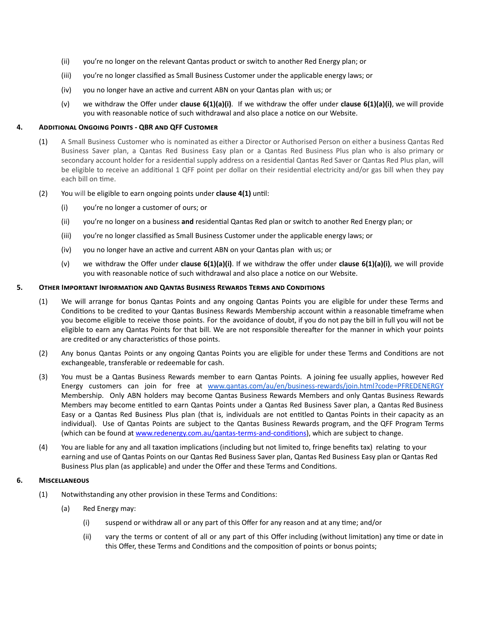- (ii) you're no longer on the relevant Qantas product or switch to another Red Energy plan; or
- (iii) you're no longer classified as Small Business Customer under the applicable energy laws; or
- (iv) you no longer have an active and current ABN on your Qantas plan with us; or
- (v) we withdraw the Offer under **clause 6(1)(a)(i)**. If we withdraw the offer under **clause 6(1)(a)(i)**, we will provide you with reasonable notice of such withdrawal and also place a notice on our Website.

### **4. ADDITIONAL ONGOING POINTS - QBR AND QFF CUSTOMER**

- (1) A Small Business Customer who is nominated as either a Director or Authorised Person on either a business Qantas Red Business Saver plan, a Qantas Red Business Easy plan or a Qantas Red Business Plus plan who is also primary or secondary account holder for a residential supply address on a residential Qantas Red Saver or Qantas Red Plus plan, will be eligible to receive an additional 1 QFF point per dollar on their residential electricity and/or gas bill when they pay each bill on time.
- (2) You will be eligible to earn ongoing points under **clause 4(1)** until:
	- (i) you're no longer a customer of ours; or
	- (ii) you're no longer on a business **and** residential Qantas Red plan or switch to another Red Energy plan; or
	- (iii) you're no longer classified as Small Business Customer under the applicable energy laws; or
	- (iv) you no longer have an active and current ABN on your Qantas plan with us; or
	- (v) we withdraw the Offer under **clause 6(1)(a)(i)**. If we withdraw the offer under **clause 6(1)(a)(i)**, we will provide you with reasonable notice of such withdrawal and also place a notice on our Website.

#### 5. OTHER IMPORTANT INFORMATION AND QANTAS BUSINESS REWARDS TERMS AND CONDITIONS

- (1) We will arrange for bonus Qantas Points and any ongoing Qantas Points you are eligible for under these Terms and Conditions to be credited to your Qantas Business Rewards Membership account within a reasonable timeframe when you become eligible to receive those points. For the avoidance of doubt, if you do not pay the bill in full you will not be eligible to earn any Qantas Points for that bill. We are not responsible thereafter for the manner in which your points are credited or any characteristics of those points.
- (2) Any bonus Qantas Points or any ongoing Qantas Points you are eligible for under these Terms and Conditions are not exchangeable, transferable or redeemable for cash.
- (3) You must be a Qantas Business Rewards member to earn Qantas Points. A joining fee usually applies, however Red Energy customers can join for free at [www.qantas.com/au/en/business-rewards/join.html?code=PFREDENERGY](https://www.qantas.com/au/en/business-rewards/join.html?code=PFREDENERGY) Membership. Only ABN holders may become Qantas Business Rewards Members and only Qantas Business Rewards Members may become entitled to earn Qantas Points under a Qantas Red Business Saver plan, a Qantas Red Business Easy or a Qantas Red Business Plus plan (that is, individuals are not entitled to Qantas Points in their capacity as an individual). Use of Qantas Points are subject to the Qantas Business Rewards program, and the QFF Program Terms (which can be found at www.redenergy.com.au/qantas-terms-and-conditions), which are subject to change.
- (4) You are liable for any and all taxation implications (including but not limited to, fringe benefits tax) relating to your earning and use of Qantas Points on our Qantas Red Business Saver plan, Qantas Red Business Easy plan or Qantas Red Business Plus plan (as applicable) and under the Offer and these Terms and Conditions.

#### **6. M**

- (1) Notwithstanding any other provision in these Terms and Conditions:
	- (a) Red Energy may:
		- $(i)$  suspend or withdraw all or any part of this Offer for any reason and at any time; and/or
		- (ii) vary the terms or content of all or any part of this Offer including (without limitation) any time or date in this Offer, these Terms and Conditions and the composition of points or bonus points;